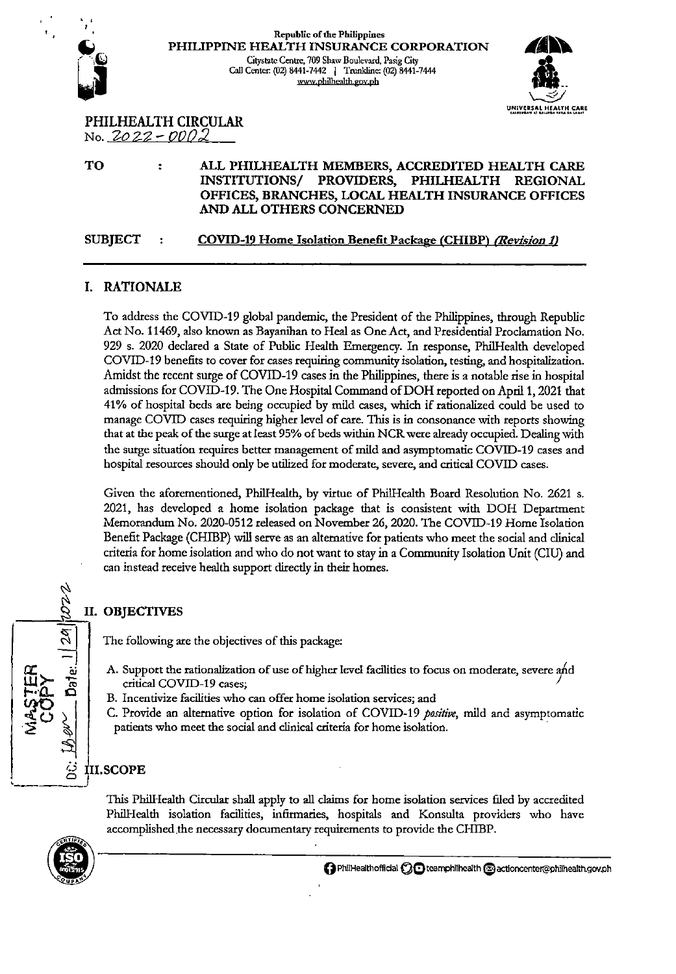

#### **Republic of the Philippines**  PHILIPPINE HEALTH INSURANCE CORPORATION Gitystatc Centre, 709 Shaw Boulevard, Pasig City<br>Call Center. (02) 8441-7442 | Trunkline: (02) 8441-7444 www.philhealth.gov.ph



PHILHEALTH CIRCULAR No. 2-o 22- *000:2* 

TO

#### $\ddot{\cdot}$ ALL PHILHEALTH MEMBERS, ACCREDITED HEALTH CARE INSTITUTIONS/ PROVIDERS, PHILHEALTH REGIONAL OFFICES, BRANCHES, LOCAL HEALTH INSURANCE OFFICES AND ALL OTHERS CONCERNED

SUBJECT COVID-19 Home Isolation Benefit Package (CHIBP) *(Revision 1/* 

## I. RATIONALE

To address the COVID-19 global pandemic, the President of the Philippines, thtough Republic Act No. 11469, also known as Bayanihan to Heal as One Act, and Presidential Proclamation No. 929 s. 2020 declated a State of Public Health Emergency. In response, Phi!Health developed COVID-19 benefits to covet for cases requiring community isolation, testing, and hospitalization. Amidst the recent surge of COVID-19 cases in the Philippines, there is a notable rise in hospital admissions for COVID-19. The One Hospital Command of DOH reported on April 1, 2021 that 41% of hospital beds ate being occupied by mild cases, which if rationalized could be used to manage COVID cases requiring higher level of eate. This is in consonance with reports showing that at the peak of the surge at least 95% of beds within NCR were already occupied. Dealing with the surge situation requires better management of mild and asymptomatic COVID-19 cases and hospital resources should only be utilized for moderate, severe, and critieal COVID cases.

Given the aforementioned, Phi!Health, by virtue of Phi!Health Boatd Resolution No. 2621 s. 2021, has developed a home isolation package that is consistent with DOH Department Memorandum No. 2020-0512 released on November 26,2020. The COVID-19 Home Isolation Benefit Package (CHIBP) will serve as an alternative for patients who meet the social and clinical criteria for home isolation and who do not want to stay in a Community Isolation Unit (CIU) and can instead receive health support ditecdy in their homes.

## II. OBJECTIVES

The following ate the objectives of this package:

- A. Support the rationalization of use of higher level facilities to focus on moderate, severe ajd critical COVID-19 cases;
- B. Incentivize facilities who can offer home isolation services; and

C. Provide an alternative option for isolation of COVID-19 *positive,* mild and asymptomatic patients who meet the social and clinical criteria for home isolation.

## III.SCOPE

This Phi!Health Circular shall apply to all claims for home isolation services filed by accredited Phi!Health isolation facilities, infirmaries, hospitals and Konsulta providers who have accomplished the necessary documentary requirements to provide the CHIBP.



 $\dot{\nu}$ ~

 $\overline{-}$  |

 $\widetilde{\mathbb{F}}$   $\widetilde{\mathbb{F}}$   $\widetilde{\mathbb{F}}$   $\widetilde{\mathbb{F}}$   $\widetilde{\mathbb{F}}$ 

 $\sum_{\substack{\beta\in\mathbb{Z}^2\\ \beta\in\mathbb{Z}}}$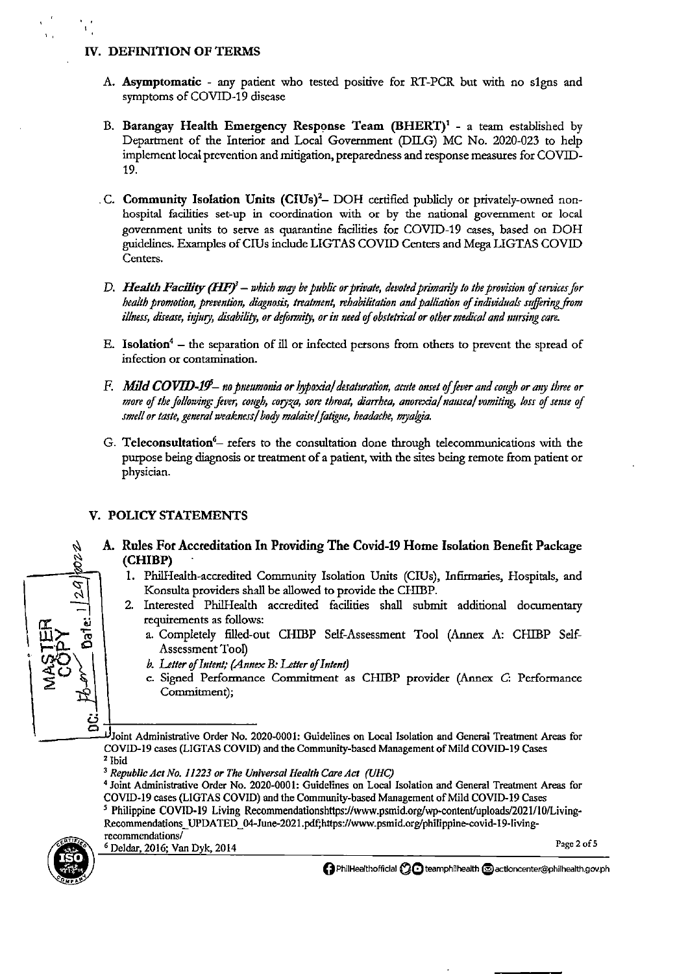#### IV. DEFINITION OF TERMS

- A. Asymptomatic any patient who tested positive for RT-PCR but with no s1gns and symptoms of COVID-19 disease
- B. Barangay Health Emergency Response Team (BHERT)<sup>1</sup> a team established by Department of the Interior and Local Government (DILG) MC No. 2020-023 to help implement local prevention and mitigation, preparedness and response measures for COVID-19.
- .C. Community Isolation Units (CIUs)<sup>2</sup>- DOH certified publicly or privately-owned nonhospital facilities set-up in coordination with or by the national government or local government units to serve as quarantine facilities for COVID-19 cases, based on DOH guidelines. Examples of CIUs include LIGTAS COVID Centers and Mega LIGTAS COVID Centers.
- D. Health Facility (HF)<sup>3</sup> which may be public or private, devoted primarily to the provision of services for health promotion, prevention, diagnosis, treatment, rehabilitation and palliation of individuals suffering from illness, disease, injury, disability, or deformity, or in need of obstetrical or other medical and nursing care.
- E. Isolation<sup>4</sup> the separation of ill or infected persons from others to prevent the spread of infection or contamination.
- F. Mild COVID-19- no pneumonia or hypoxial desaturation, acute onset of fever and cough or any three or more of the following: fever, cough, coryza, sore throat, diarrhea, anorexia/nausea/vomiting, loss of sense of smell or taste, general weakness/ body malaise/ fatigue, headache, myalgia.
- G. Teleconsultation<sup>6</sup> refers to the consultation done through telecommunications with the purpose being diagnosis or treatment of a patient, with the sites being remote from patient or physician.

#### V. POLICY STATEMENTS

### A. Rules For Accreditation In Providing The Covid-19 Home Isolation Benefit Package (CHIBP)

- 1. PhilHealth-accredited Community Isolation Units (CIUs), Infirmaries, Hospitals, and Konsulta providers shall be allowed to provide the CHIBP.
- 2. Interested PhilHealth accredited facilities shall submit additional documentary requirements as follows:
	- a. Completely filled-out CHIBP Self-Assessment Tool (Annex A: CHIBP Self-Assessment Tool)
	- b. Letter of Intent; (Annex B: Letter of Intent)
	- c. Signed Performance Commitment as CHIBP provider (Annex C: Performance Commitment);

Joint Administrative Order No. 2020-0001: Guidelines on Local Isolation and General Treatment Areas for COVID-19 cases (LIGTAS COVID) and the Community-based Management of Mild COVID-19 Cases  $2$  Ibid

<sup>4</sup> Joint Administrative Order No. 2020-0001: Guidelines on Local Isolation and General Treatment Areas for COVID-19 cases (LIGTAS COVID) and the Community-based Management of Mild COVID-19 Cases <sup>5</sup> Philippine COVID-19 Living Recommendationshttps://www.psmid.org/wp-content/uploads/2021/10/Living-Recommendations\_UPDATED\_04-June-2021.pdf;https://www.psmid.org/philippine-covid-19-livingrecommendations/



<sup>6</sup> Deldar, 2016; Van Dyk, 2014

**O** PhilHealthofficial **CO** teamphilhealth **Conditional Action** center @philhealth.gov.ph

Page 2 of 5

<sup>&</sup>lt;sup>3</sup> Republic Act No. 11223 or The Universal Health Care Act (UHC)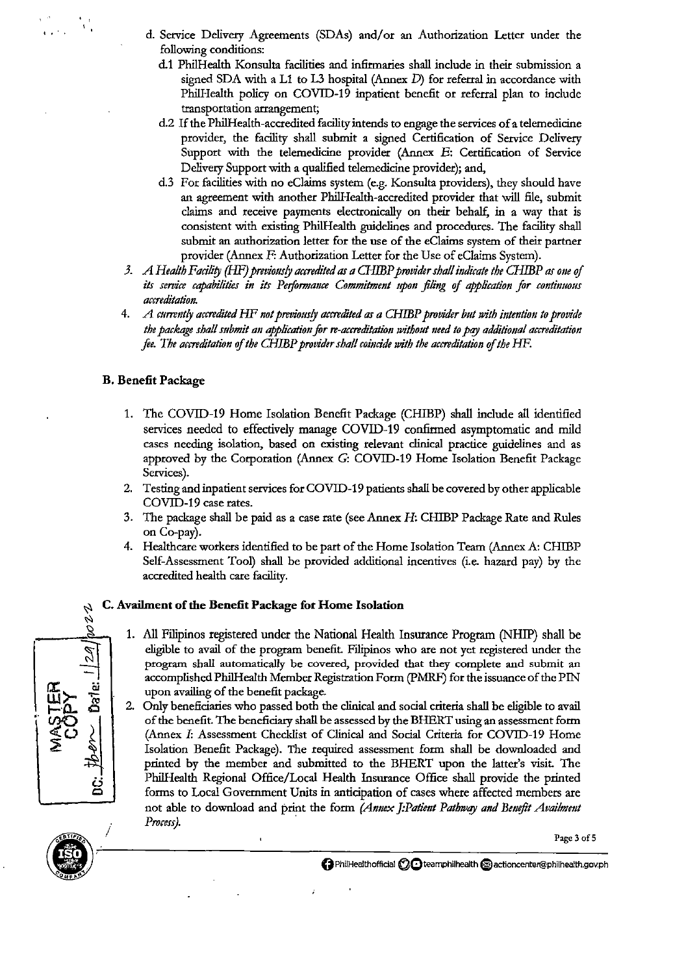- d. Service Delivery Agreements (SDAs) and/or an Authorization Letter under the following conditions:
	- d.1 Phi!Health Konsulta facilities and infirmaries shall include in their submission a signed SDA with a L1 to L3 hospital (Annex D) for referral in accordance with PhilHealth policy on COVID-19 inpatient benefit or referral plan to include transportation arrangement;
	- d.2 If the PhilHealth-accredited facility intends to engage the services of a telemedicine provider, the facility shall submit a signed Certification of Service Delivery Support with the telemedicine provider (Annex E: Certification of Service Delivery Support with a qualified telemedicine provider); and,
	- d.3 For facilities with no eClaims system (e.g. Konsulta providers), they should have an agreement with another PhilHealth-accredited provider that will file, submit claims and receive payments electronically on their behalf, in a way that is consistent with existing PhilHealth gnidelines and procedures. The facility shall submit an authorization letter for the use of the eCiaims system of their partner provider (Annex F: Authorization Letter for the Use of eClaims System).
- *3. A Health Facility (HF) previom!J accredited as a* G-IffiP *provider shalf indicate the CHIBP as one* if *its sef7lice capabilities in its Performance Commitment upon filing* if *application for continuous accreditation.*
- 4. *A cumnt!J accredited HF not previous!J accredited as a CHIBP provider but with intention to provide*  the package shall submit an application for re-accreditation without need to pay additional accreditation *fee. The accreditation of the CHIBP provider shall coincide with the accreditation of the HF.*

### **B. Benefit Package**

- 1. The COVID-19 Home Isolation Benefit Package (CHIBP) shall include all identified services needed to effectively manage COVID-19 confirmed asymptomatic and mild cases needing isolation, based on existing relevant clinical practice gnidelines and as approved by the Corporation (Annex G: COVID-19 Home Isolation Benefit Package Services).
- 2. Testing and inpatient services for COVID-19 patients shall be covered by other applicable COVID-19 case rates.
- 3. The package shall be paid as a case rate (see Annex H: CHIBP Package Rate and Rules on Co-pay).
- 4. Health care workers identified to be part of the Home Isolation Team (Annex A: CHIBP Self-Assessment Tool) shall be provided additional incentives (i.e. hazard pay) by the accredited health care facility.

# <sup>~</sup>**C. Availment of the Benefit Package for Home Isolation**  8<br>"<br>|

 $\bar{\mathbf{t}}$ 

.

- 1. All Filipinos registered under the National Health Insurance Program (NHIP) shall be eligible to avail of the program benefit. Filipinos who are not yet registered under the program shall automatically be coveted, provided that they complete and submit an accomplished PhilHealth Member Registration Form (PMRF) for the issuance of the PIN upon availing of the benefit package.
- 2. Ouly beneficiaries who passed both the clinical and social criteria shall be eligible to avail of the benefit. The beneficiary shall be assessed by the BHERT using an assessment form (Annex I: Assessment Checklist of Clinical and Social Criteria for COVID-19 Home Isolation Benefit Package). The required assessment form shall be dowuloaded and printed by the member and submitted to the BHERT upon the latter's visit. The PhilHealth Regional Office/Local Health Insurance Office shall provide the printed forms to Local Government Units in anticipation of cases where affected members are not able to download and print the form (Annex J:Patient Pathway and Benefit Availment *Process).* ·



**r.t:** ~ (ij ن<br>ناھ<br>20

 $F_{\pm}$ 

*i3*  **0** 

I

,.

**I''** •

' , '

Page 3 of 5

**0 Phi/Healthoffidal (2Qteamphilhealth €)actioncenter@philhealth.gov.ph**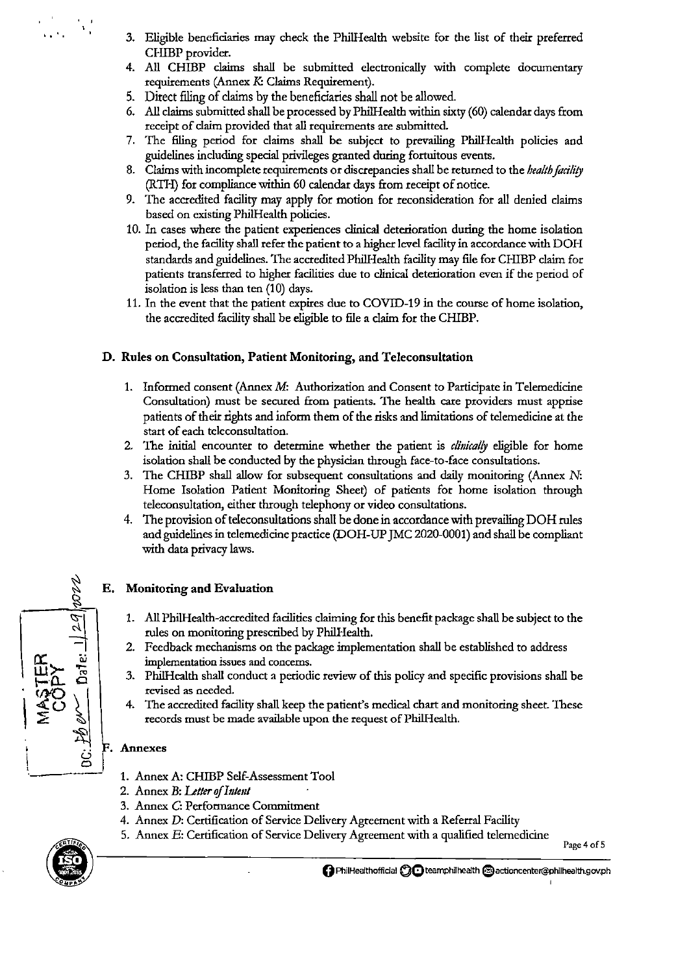- 3. Eligible beneficiaries may check the PhilHealth website for the list of their preferred CHIBP provider.
- 4. All CHIDP claims shall be submitted electronically with complete documentaty requirements (Annex *K*: Claims Requirement).
- 5. Direct filing of claims by the beneficiaries shall not be allowed.
- 6. All claims submitted shall be processed by PhilHealth within sixty (60) calendar days from receipt of claim provided that all requirements are submitted.
- 7. The filing period for claims shall be subject to prevailing PhilHealth policies aod guidelines including special privileges granted during fortuitous events.
- 8. Claims with incomplete requirements or discrepancies shall be returned to the *health facility* (RTI-I) for compliaoce within 60 calendar days from receipt of notice.
- 9. The accredited facility may apply for motion for reconsideration for all denied claims based on existing PhilHealth policies.
- 10. In cases where the patient experiences clinical deterioration during the home isolation period, the facility shall refer the patient to a higher level facility in accordance with DOH standards and guidelines. The accredited PhilHealth facility may file for CHIBP claim for patients traosferred to higher facilities due to clinical deterioration even if the period of isolation is less than ten (10) days.
- 11. In the event that the patient expires due to COVID-19 in the course of home isolation, the accredited facility shall be eligible to file a claim for the CHIBP.

## D. Rules on Consultation, Patient Monitoring, and Teleconsultation

- 1. Informed consent (Annex M: Authorization and Consent to Participate in Telemedicine Consultation) must be secured from patients. The health care providers must apprise patients of their rights and inform them of the risks and limitations of telemedicine at the start of each teleconsultation.
- 2. The initial encounter to determine whether the patient is *clillicai!J* eligible for home isolation shall be conducted by the physician through face-to-face consultations.
- 3. The CHIDP shall allow for subsequent consultations and daily monitoring (Annex N: Home Isolation Patient Monitoring Sheet) of patients for home isolation through teleconsultation, either through telephony or video consultations.
- 4. The provision of teleconsultations shall be done in accordance with prevailing DOH rules and guidelines in telemedicine practice (DOH-UP JMC 2020-0001) and shall be compliant with data privacy laws.

## E. Monitoring and Evaluation

- 1. All PhilHealth-accredited facilities claiming for this benefit package shall be subject to the rules on monitoring prescribed by PhilHealth.
- 2. Feedback mechanisms on the package implementation shall be established to address implementation issues and concerns.
- 3. PhilHealth shall conduct a periodic review of this policy and specific provisions shall be revised as needed.
- 4. The accredited facility shall keep the patient's medical chart and monitoring sheet. These records must be made available upon the request of PhilHealth.

## Annexes

- 1. Annex A: CHIBP Self-Assessment Tool
- 2. Annex B: *Ltlfer oflntml*
- 3. Annex C: Performaoce Commitment
- 4. Annex D: Certification of Service Delivery Agreement with a Referral Facility
- 5. Annex E: Certification of Service Delivery Agreement with a qualified telemedicine Page 4 of 5



.,....  $\mathbf{S}$ 

 $\frac{1}{K}$  .  $\epsilon$ 

 $\left\{\right.$ 

...

. ' '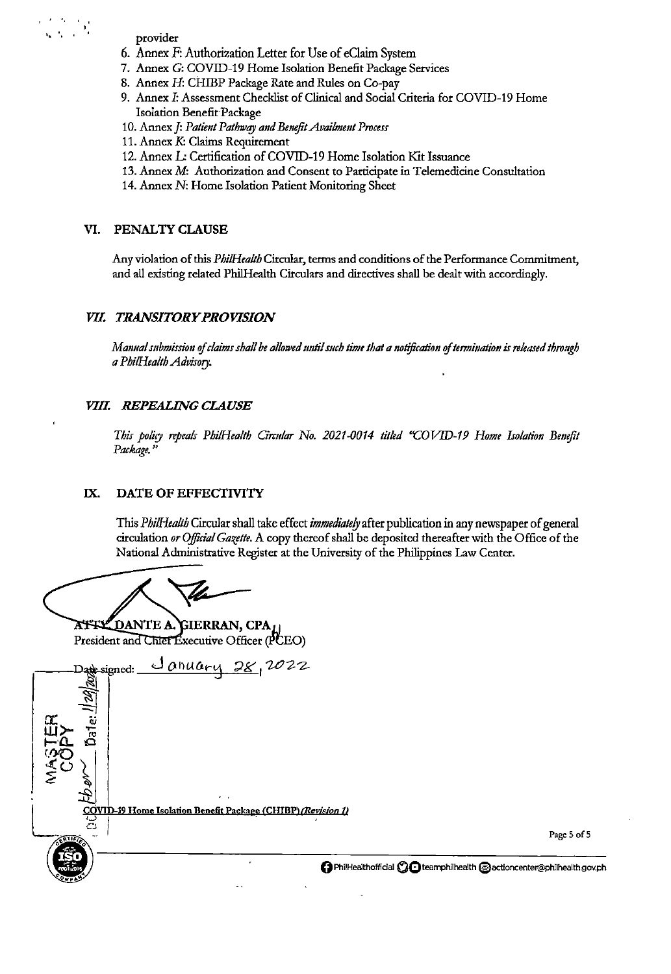- provider
- 6. Annex F: Authorization Letter for Use of eClaim System
- 7. Annex G: COVID-19 Home Isolation Benefit Package Services
- 8. Annex H: CHIBP Package Rate and Rules on Co-pay
- 9. Annex I: Assessment Checklist of Clinical and Social Criteria for COVID-19 Home Isolation Benefit Package
- 10. Annex J: Patient Pathway and Benefit Availment Process
- 11. Annex K: Claims Requirement
- 12. Annex L: Certification of COVID-19 Home Isolation Kit Issuance
- 13. Annex M: Authorization and Consent to Participate in Telemedicine Consultation
- 14. Annex N: Home Isolation Patient Monitoring Sheet

#### VI. PENALTY CLAUSE

Any violation of this PhilHealth Circular, terms and conditions of the Performance Commitment, and all existing related PhilHealth Circulars and directives shall be dealt with accordingly.

#### VII. TRANSITORY PROVISION

Manual submission of claims shall be allowed until such time that a notification of termination is released through a PhilHealth Advisory.

#### VIII. REPEALING CLAUSE

This policy repeals PhilHealth Circular No. 2021-0014 titled "COVID-19 Home Isolation Benefit Package.'

#### IX. DATE OF EFFECTIVITY

This PhilHealth Circular shall take effect immediately after publication in any newspaper of general circulation or Official Gazette. A copy thereof shall be deposited thereafter with the Office of the National Administrative Register at the University of the Philippines Law Center.

**ATTLEDANTE A. GIERRAN, CPA,** President and Chief Executive Officer (PCEO)

<u>January</u> 28,2022 Date\_signed: <u> COVID-19 Home Isolation Benefit Package (CHIBP) (*Revision 1)*</u>

Page 5 of 5

↑ PhilHealthofficial C C teamphilhealth @actioncenter@philhealth.gov.ph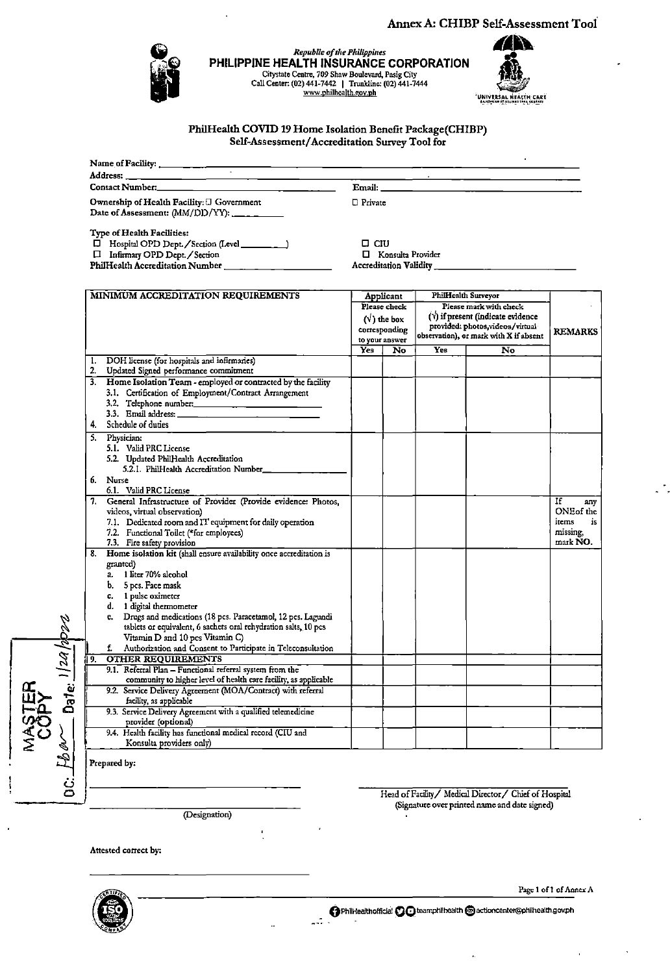#### Annex A: CHIBP Self-Assessment Tool



Republic of the Philippines PHILIPPINE HEALTH INSURANCE CORPORATION Citystate Centre, 709 Shaw Boulevard, Pasig City<br>Call Center: (02) 441-7442 | Trunkline: (02) 441-7444<br>www.philhealth.gov.ph



PhilHealth COVID 19 Home Isolation Benefit Package(CHIBP) Self-Assessment/Accreditation Survey Tool for

| Address: the contract of the contract of the contract of the contract of the contract of the contract of the contract of the contract of the contract of the contract of the contract of the contract of the contract of the c |                |                                                                                                                                                                                                                                      |
|--------------------------------------------------------------------------------------------------------------------------------------------------------------------------------------------------------------------------------|----------------|--------------------------------------------------------------------------------------------------------------------------------------------------------------------------------------------------------------------------------------|
| Contact Number: and the contract Number:                                                                                                                                                                                       |                | Email: <u>Email and the second second second second second second second second second second second second second second second second second second second second second second second second second second second second seco</u> |
| Ownership of Health Facility: $\Box$ Government<br>Date of Assessment: (MM/DD/YY): ______                                                                                                                                      | $\Box$ Private |                                                                                                                                                                                                                                      |

Type of Health Facilities:

 $\begin{array}{ll}\n\Box \text{ Hospital OPD Dept.}/\text{Section (Level} \quad \text{Initial OPD Dept.}/\text{Section}\n\end{array}$  $\overline{\phantom{0}}$ 

 $\square$  <br> CIU □ Konsulta Provider **Accreditation Validity** 

|                    |          | MINIMUM ACCREDITATION REQUIREMENTS                                  |                                 | Applicant        | <b>PhilHealth Surveyor</b> |                                           |                |
|--------------------|----------|---------------------------------------------------------------------|---------------------------------|------------------|----------------------------|-------------------------------------------|----------------|
|                    |          |                                                                     |                                 | Please check     |                            | Please mark with check                    |                |
|                    |          |                                                                     |                                 | $(\vee)$ the box |                            | $(\forall)$ if present (indicate evidence |                |
|                    |          |                                                                     |                                 |                  |                            | provided: photos, videos/virtual          |                |
|                    |          |                                                                     | corresponding<br>to your answer |                  |                            | observation), or mark with X if absent    | <b>REMARKS</b> |
|                    |          |                                                                     | Yes <sup>-</sup>                | No               | <b>Yes</b>                 | No                                        |                |
|                    |          |                                                                     |                                 |                  |                            |                                           |                |
|                    | 1.<br>2. | DOH license (for hospitals and infirmaries)                         |                                 |                  |                            |                                           |                |
|                    |          | Updated Signed performance commitment                               |                                 |                  |                            |                                           |                |
|                    | 3.       | Home Isolation Team - employed or contracted by the facility        |                                 |                  |                            |                                           |                |
|                    |          | 3.1. Certification of Employment/Contract Arrangement               |                                 |                  |                            |                                           |                |
|                    |          | 3.2. Telephone number:                                              |                                 |                  |                            |                                           |                |
|                    |          |                                                                     |                                 |                  |                            |                                           |                |
|                    | 4.       | Schedule of duties                                                  |                                 |                  |                            |                                           |                |
|                    | 5.       | Physician:                                                          |                                 |                  |                            |                                           |                |
|                    |          | 5.1. Valid PRC License                                              |                                 |                  |                            |                                           |                |
|                    |          | 5.2. Updated PhilHealth Accreditation                               |                                 |                  |                            |                                           |                |
|                    |          | 5.2.1. PhilHealth Accreditation Number_                             |                                 |                  |                            |                                           |                |
|                    | 6.       | <b>Nurse</b>                                                        |                                 |                  |                            |                                           |                |
|                    |          | 6.1. Valid PRC License                                              |                                 |                  |                            |                                           |                |
|                    |          | 7. General Infrastructure of Provider (Provide evidence: Photos,    |                                 |                  |                            |                                           | If<br>any      |
|                    |          | videos, virtual observation)                                        |                                 |                  |                            |                                           | ONE of the     |
|                    |          | 7.1. Dedicated room and IT equipment for daily operation            |                                 |                  |                            |                                           | items<br>is    |
|                    |          | 7.2. Functional Toilet (*for employees)                             |                                 |                  |                            |                                           | missing,       |
|                    |          | 7.3. Fire safety provision                                          |                                 |                  |                            |                                           | mark NO.       |
|                    | 8.       | Home isolation kit (shall ensure availability once accreditation is |                                 |                  |                            |                                           |                |
|                    |          | granted)                                                            |                                 |                  |                            |                                           |                |
|                    |          | 1 liter 70% alcohol<br>a.                                           |                                 |                  |                            |                                           |                |
|                    |          | 5 pcs. Face mask<br>b,                                              |                                 |                  |                            |                                           |                |
|                    |          | 1 pulse oximeter<br>c.                                              |                                 |                  |                            |                                           |                |
|                    |          | 1 digital thermometer<br>d.                                         |                                 |                  |                            |                                           |                |
|                    |          | Drugs and medications (18 pcs. Paracetamol, 12 pcs. Lagundi<br>e.   |                                 |                  |                            |                                           |                |
|                    |          | tablets or equivalent, 6 sachets oral rehydration salts, 10 pcs     |                                 |                  |                            |                                           |                |
|                    |          | Vitamin D and 10 pcs Vitamin C)                                     |                                 |                  |                            |                                           |                |
|                    |          | Authorization and Consent to Participate in Teleconsultation<br>f.  |                                 |                  |                            |                                           |                |
|                    | ۱9.      | <b>OTHER REQUIREMENTS</b>                                           |                                 |                  |                            |                                           |                |
|                    |          | 9.1. Referral Plan - Functional referral system from the            |                                 |                  |                            |                                           |                |
|                    |          | community to higher level of health care facility, as applicable    |                                 |                  |                            |                                           |                |
| Date: $1/20$ /op22 |          | 9.2. Service Delivery Agreement (MOA/Contract) with referral        |                                 |                  |                            |                                           |                |
|                    |          | facility, as applicable                                             |                                 |                  |                            |                                           |                |
|                    |          | 9.3. Service Delivery Agreement with a qualified telemedicine       |                                 |                  |                            |                                           |                |
|                    |          | provider (optional)                                                 |                                 |                  |                            |                                           |                |
| $\zeta$            |          | 9.4. Health facility has functional medical record (CIU and         |                                 |                  |                            |                                           |                |
|                    |          | Konsulta providers only)                                            |                                 |                  |                            |                                           |                |
|                    |          |                                                                     |                                 |                  |                            |                                           |                |

 $\mathbb{Z}^{\frac{1}{2}}$ 

Prepared by:

**Foar** 

.<br>ق

(Designation)

Head of Facility / Medical Director / Chief of Hospital (Signature over printed name and date signed)

Attested correct by:



Page 1 of 1 of Annex A

O PhilHealthofficial CO teamphilhealth @actioncenter@philhealth.gov.ph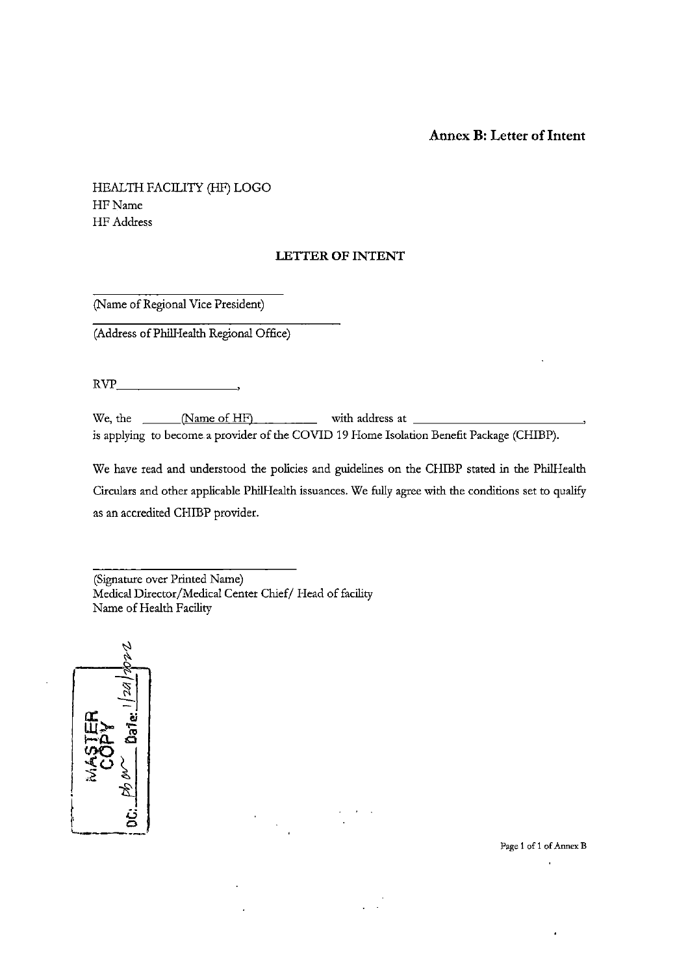#### **Annex B: Letter of Intent**

#### HEALTH FACILITY (HF) LOGO HFName HF Address

#### **LETTER OF INTENT**

(Name of Regional Vice President)

(Address ofPhilHealth Regional Office)

 $RVP$   $\longrightarrow$ 

We, the  $\frac{Name\ of\ HF)}{P}$  with address at  $\frac{1}{P}$ is applying to become a provider of the COVID 19 Home Isolation Benefit Package (CHIBP).

We have read and understood the policies and guidelines on the CHIBP stated in the PhilHealth Circulars and other applicable PhilHealth issuances. We fully agree with the conditions set to qualify as an accredited CHIBP provider.

(Signature over Printed Name) Medical Director/Medical Center Chief/ Head of facility Name of Health Facility

 $\overline{a}$ 



**Page 1 of 1 of Annex B** l.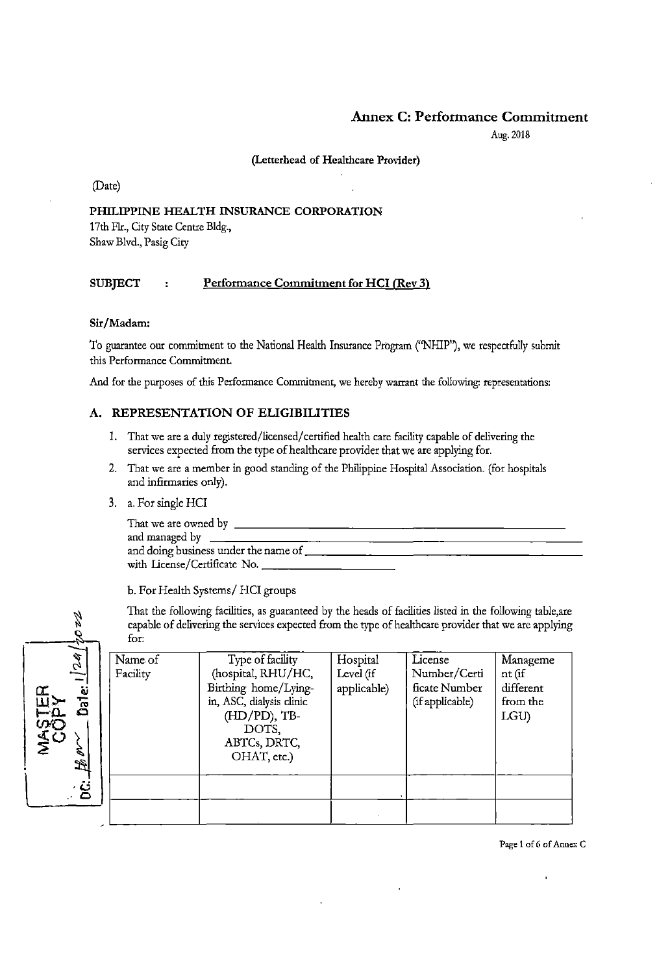#### Annex C: Performance Commitment

Aug. 2018

#### (Letterhead of Healthcare Provider)

(Date)

#### PHILIPPINE HEALTH INSURANCE CORPORATION

17th Flr., City State Centre Bldg., Shaw Blvd., Pasig City

#### SUBJECT : Performance Commitment for HCI (Rev 3)

#### Sir/Madam:

9.

Z

'

To guarantee onr commitment to the National Health Insnrance Program ("NHIP''), we respectfully submit this Performance Commitment.

And for the purposes of this Performance Commitment, we hereby warrant the following: representations:

#### A. REPRESENTATION OF ELIGIBILITIES

- I. That we are a duly registered/licensed/ certified health care facility capable of delivering the services expected from the type of healthcare provider that we are applying for.
- 2. That we are a member in good standing of the Philippine Hospital Association. (for hospitals and infirmaries only).
- 3. a. For single HCI

| a. For single HCI                         |  |
|-------------------------------------------|--|
|                                           |  |
|                                           |  |
| and doing business under the name of ____ |  |
|                                           |  |
|                                           |  |

b. For Health Systems/ HCI groups

That the following facilities, as guaranteed by the heads of facilities listed in the following table,are capable of delivering the services expected from the type of healthcare provider that we are applying for:

| Ý.                     | Name of  | Type of facility         | Hospital    | License         | Manageme  |
|------------------------|----------|--------------------------|-------------|-----------------|-----------|
| $\vec{\omega}$         | Facility | (hospital, RHU/HC,       | Level (if   | Number/Certi    | nt (if    |
|                        |          | Birthing home/Lying-     | applicable) | ficate Number   | different |
| isd<br>Dai<br>Œ<br>LLI |          | in, ASC, dialysis clinic |             | (if applicable) | from the  |
|                        |          | (HD/PD), TB-             |             |                 | LGU)      |
|                        |          | DOTS,                    |             |                 |           |
| က<br>နိုင်             |          | ABTCs, DRTC,             |             |                 |           |
|                        |          | OHAT, etc.)              |             |                 |           |
| 子                      |          |                          |             |                 |           |
|                        |          |                          |             |                 |           |
| ံခ                     |          |                          |             |                 |           |
|                        |          |                          |             |                 |           |
|                        |          |                          |             |                 |           |

Page 1 of 6 of Annex C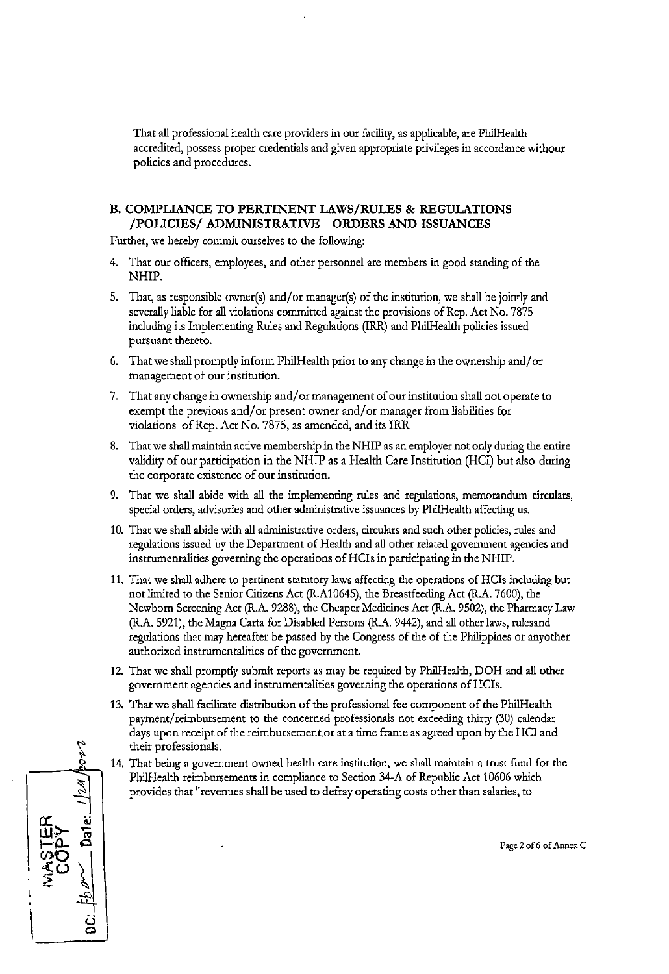That all professional health care providers in our facility, as applicable, are PhilHealth accredited, possess proper credentials and given appropriate privileges in accordance \vithour policies and procedures.

#### **B. COMPLIANCE TO PERTINENT LAWS/RULES & REGULATIONS /POLICIES/ ADMINISTRATIVE ORDERS AND ISSUANCES**

Further, we hereby commit ourselves to the following:

- 4. That out officers, employees, and other personnel are members in good standing of the NHIP.
- 5. That, as responsible owner(s) and/or manager(s) of the institution, we shall be jointly and severally liable for all violations committed against the provisions of Rep. Act No. 7875 including its Implementing Rules and Regulations (IRR) and Phi!Health policies issued pursuant thereto.
- 6. That we shall promptly inform Phi!Health prior to any change in the ownership and/ or management of our institution.
- 7. That any change in ownership and/ or management of our institution shall not operate to exempt the previous and/or present owner and/or manager from liabilities for violations of Rep. Act No. 7875, as amended, and its IRR
- 8. That we shall maintain active membership in the NHIP as an employer not only during the entire validity of out participation in the NHIP as a Health Care Institution (HCI) but also during the corporate existence of our institution.
- 9. That we shall abide with all the implementing rules and regulations, memorandum circulars, special orders, advisories and other administrative issuances by Phi!Health affecting us.
- 10. That we shall abide with all administrative orders, circulars and such other policies, rules and regulations issued by the Department of Health and all other related government agencies and instrumentalities governing the operations of HCis in participating in the NHIP.
- 11. That we shall adhere to pertinent statutory laws affecting the operations of HCis including but not limited to the Senior Citizens Act (R.A10645), the Breastfeeding Act (R.A. 7600), the Newborn Screening Act (R.A. 9288), the Cheaper Medicines Act (R.A. 9502), the Pharmacy Law (R.A. 5921), the Magna Carta for Disabled Persons (R.A. 9442), and all other laws, rulesand regulations that may hereafter be passed by the Congress of the of the Philippines or anyother authorized instrumentalities of the government.
- 12. That we shall promptly submit reports as may be required by Phi!Health, DOH and all other government agencies and instrumentalities governing the operations ofHCis.
- 13. That we shall facilitate distribution of the professional fee component of the PhilHealth payment/ reimbursement to the concerned professionals not exceeding thirty (30) calendar days upon receipt of the reimbursement or at a time frame as agreed upon by the HCI and their professionals.
- 14. That being a government-owned health care institution, we shall maintain a trust fund for the PhilHealth reimbursements in compliance to Section 34-A of Republic Act 10606 which provides that "revenues shall be used to defray operating costs other than salaries, to

 $\omega$ ~ ~ - **rL Oj w>-** .,... **t-·0- <sup>0</sup>**"' ~ ~ **"i co.**  I **<sup>u</sup> 0** 

**Page 2 of 6 of. Annex C**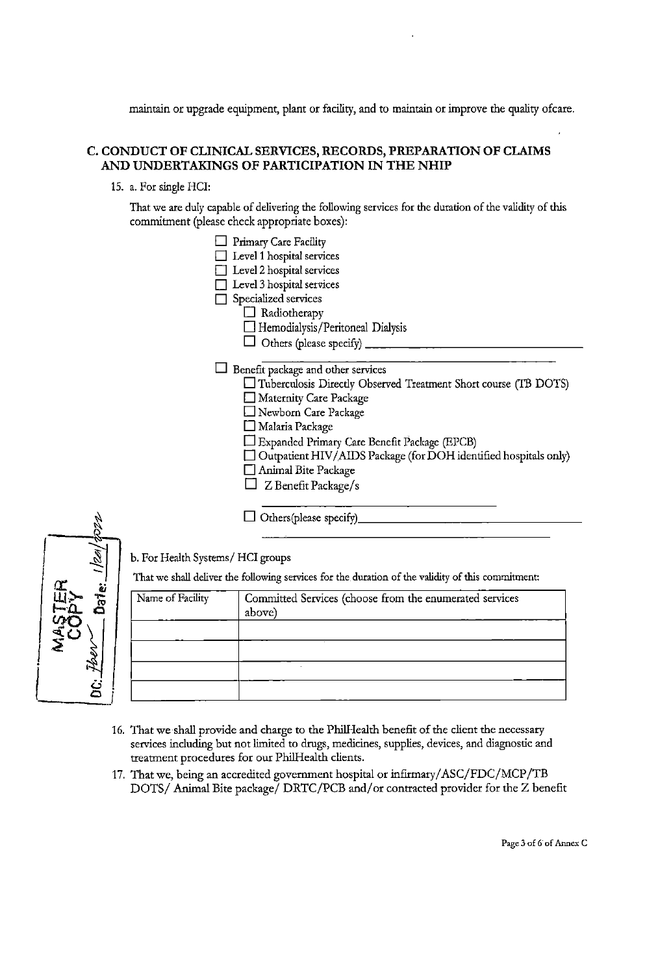maintain or upgrade equipment, plant or facility, and to maintain or improve the quality ofcare.

#### **C. CONDUCT OF CLINICAL SERVICES, RECORDS, PREPARATION OF CLAIMS AND UNDERTAKINGS OF PARTICIPATION IN THE NHIP**

15. a. For single HCI:

 $\sqrt{2}$ 

a<br>4

**0** 

 $\overline{\mathsf{L}}$ 

That we are duly capable of delivering the following services for the duration of the validity of *this*  commitment (please check appropriate boxes):

|                                  | Primary Care Facility                                                                             |
|----------------------------------|---------------------------------------------------------------------------------------------------|
|                                  | Level 1 hospital services                                                                         |
|                                  | Level 2 hospital services                                                                         |
|                                  | Level 3 hospital services                                                                         |
|                                  | Specialized services                                                                              |
|                                  | $\Box$ Radiotherapy                                                                               |
|                                  | Hemodialysis/Peritoneal Dialysis                                                                  |
|                                  |                                                                                                   |
|                                  | Benefit package and other services                                                                |
|                                  | $\Box$ Tuberculosis Directly Observed Treatment Short course (TB DOTS)                            |
|                                  | Maternity Care Package                                                                            |
|                                  | Newborn Care Package                                                                              |
|                                  | Malaria Package                                                                                   |
|                                  | Expanded Primary Care Benefit Package (EPCB)                                                      |
|                                  | $\Box$ Outpatient HIV/AIDS Package (for DOH identified hospitals only)                            |
|                                  | Animal Bite Package                                                                               |
|                                  | Z Benefit Package/s                                                                               |
|                                  |                                                                                                   |
|                                  |                                                                                                   |
| b. For Health Systems/HCI groups |                                                                                                   |
|                                  | That we shall deliver the following services for the duration of the validity of this commitment: |
| Name of Facility                 | Committed Services (choose from the enumerated services                                           |



- 16. That we shall provide and charge to the Phi!Health benefit of the client the necessary services including but not limited to drugs, medicines, supplies, devices, and diagnostic and treatment procedures for our Phi!Health clients.
- 17. That we, being an accredited government hospital or infirmary/ ASC/FDC/MCP /TB DOTS/ Animal Bite package/ DRTC/PCB and/ or contracted provider for the Z benefit

**Page 3 of 6 of Annex C**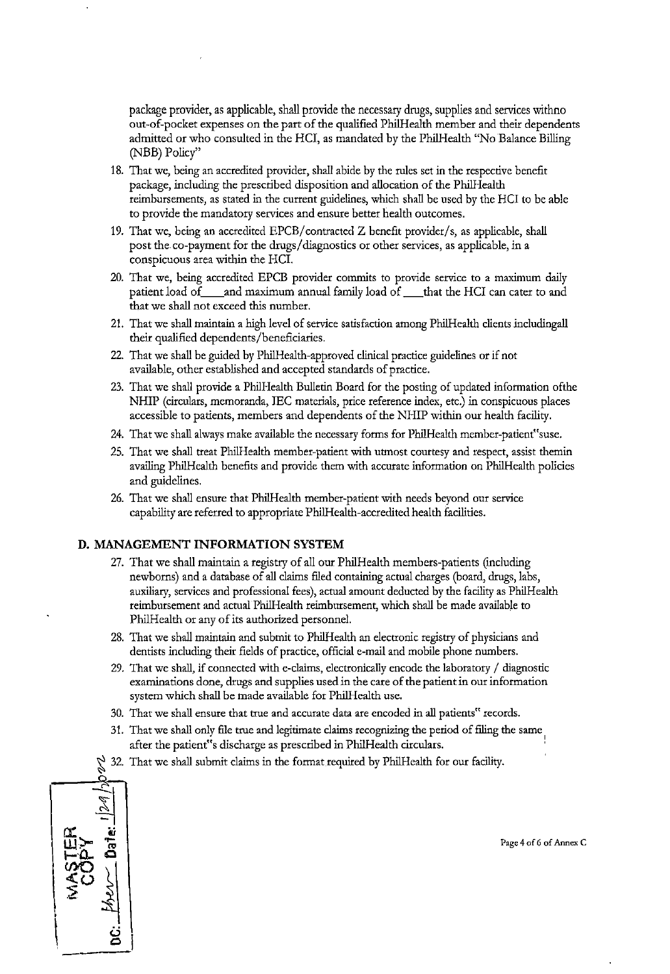package provider, as applicable, shall provide the necessary drugs, supplies and services withno out-of-pocket expenses on the part of the qualified PhilHealth member and their dependents admitted or who consulted in the HCI, as mandated by the PhilHealth "No Balance Billing (NBB) Policy"

- 18. That we, being an accredited provider, shall abide by the rules set in the respective benefit package, including the prescribed disposition and allocation of the PhilHealth reimbursements, as stated in the current guidelines, which shall be used by the HCI to be able to provide the mandatory services and ensure better health outcomes.
- 19. That we, being an accredited EPCB/contracted Z benefit provider/s, as applicable, shall post the co-payment for the drugs/diagnostics or other services, as applicable, in a conspicuous area within the HCI.
- 20. That we, being accredited EPCB provider commits to provide service to a maximum daily patient load of and maximum annual family load of that the HCI can cater to and that we shall not exceed this number.
- 21. That we shall maintain a high level of service satisfaction among PhilHealth clients includingall their qualified dependents/beneficiaries.
- 22. That we shall be guided by PhilHealth-approved clinical practice guidelines or if not available, other established and accepted standards of practice.
- 23. That we shall provide a PhilHealth Bulletin Board for the posting of updated information ofthe NHIP (circulars, memoranda, IEC materials, price reference index, etc.) in conspicuous places accessible to patients, members and dependents of the NHIP within our health facility.
- 24. That we shall always make available the necessary forms for PhilHealth member-patient"suse.
- 25. That we shall treat Phi!Health member-patient with utmost courtesy and respect, assist themin availing PhilHealth benefits and provide them with accurate information on PhilHealth policies and guidelines.
- 26. That we shall ensure that PhilHealth member-patient with needs beyond our service capability are referred to appropriate PhilHealth-accredited health facilities.

#### **D. MANAGEMENT INFORMATION SYSTEM**

- 27. That we shall maintain a registry of all our PhilHealth members-patients (including newborns) and a database of all claims filed containing actual charges (board, drugs, labs, auxiliary, services and professional fees), actual amount deducted by the facility as PhilHealth reimbursement and actual PhilHealth reimbursement, which shall be made available to PhilHealth or any of its authorized personnel.
- 28. That we shall maintain and submit to PhilHealth an electronic registry of physicians and dentists including their fields of practice, official e-mail and mobile phone numbers.
- 29. That we shall, if connected with e-claims, electronically encode the laboratory / diagnostic examinations done, drugs and supplies used in the care of the patient in our information system which shall be made available for PhilHealth use.
- 30. That we shall ensure that true and accurate data are encoded in all patients" records.
- 31. That we shall only file true and legitimate claims recognizing the period of filing the same after the patient"s discharge as prescribed in PhilHealth circulars. '
- ~ 32. That we shall submit claims in the format required by PhilHealth for our facility.



**Page 4 of 6 of Annex C**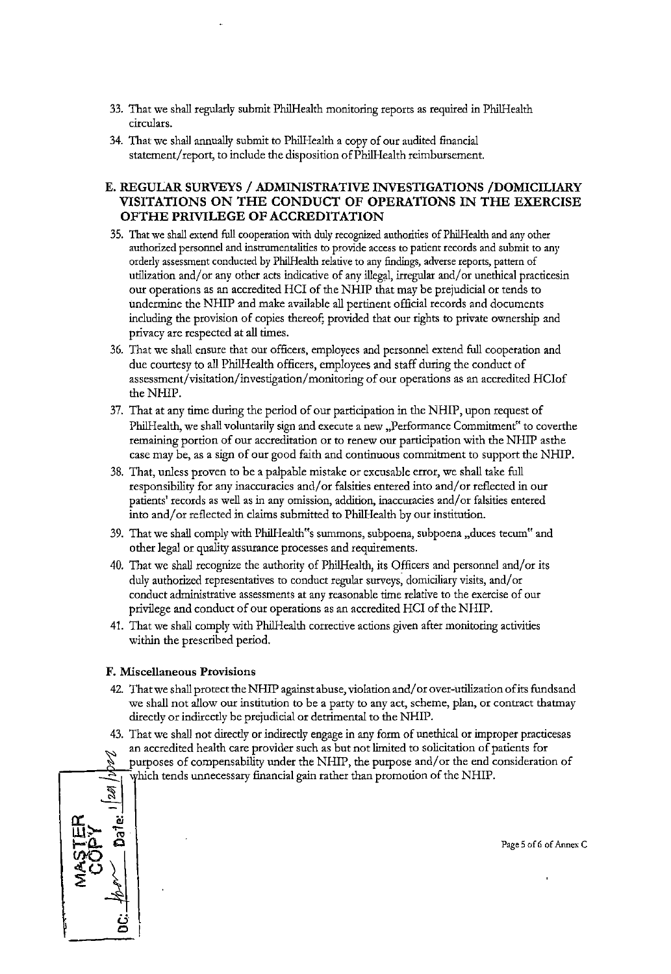- 33. That we shall regularly submit PhilHealth monitoring reports as required in PhilHealth **circulars.**
- 34. That we shall annually submit to PhilHealth a copy of our audited financial statement/ report, to include the disposition ofPhi!Health reimbursement.

#### **E. REGULAR SURVEYS /ADMINISTRATIVE INVESTIGATIONS /DOMICILIARY VISITATIONS ON THE CONDUCT OF OPERATIONS IN THE EXERCISE OFTHE PRIVILEGE OF ACCREDITATION**

- 35. That we shall extend full cooperation with duly recogoized authorities of Phi!Health and any other **authorized personnel and instrumentalities to provide access to patient records and submit to any**  orderly assessment conducted by Phi!Health relative to any findings, adverse reports, pattern of utilization and/or any other acts indicative of any illegal, irregular and/or unethical practicesin our operations as an accredited HCI of the NHIP that may be prejudicial or tends to undermine the NHIP and make available all pertinent official records and documents including the provision of copies thereof; provided that our rights to private ownership and privacy are respected at all times.
- 36. That we shall ensure that our officers, employees and personnel extend full cooperation and due courtesy to all Phi!Health officers, employees and staff during the conduct of assessment/visitation/investigation/ monitoring of our operations as an accredited HCiof the NHIP.
- 37. That at any time during the period of our participation in the NHIP, upon request of PhilHealth, we shall voluntarily sign and execute a new "Performance Commitment" to coverthe remaining portion of our accreditation or to renew our participation with the NHIP as the case may be, as a sign of our good faith and continuous commitment to support the NHIP.
- 38. That, unless proven to be a palpable mistake or excusable error, we shall take full responsibility for any inaccuracies and/ or falsities entered into and/ or reflected in our patients' records as well as in any omission, addition, inaccuracies and/or falsities entered into and/ or reflected in claims submitted to Phi!Health by our institution.
- 39. That we shall comply with PhilHealth"s summons, subpoena, subpoena ,duces tecum" and other legal or quality assurance processes and requirements.
- 40. That we shall recognize the authority of PhilHealth, its Officers and personnel and/or its duly authorized representatives to conduct regular surveys; domiciliary visits, and/ or conduct administrative assessments at any reasonable time relative to the exercise of our privilege and conduct of our operations as an accredited HCI of the NHIP.
- 41. That we shall comply with PhilHealth corrective actions given after monitoring activities within the prescribed period.

#### **F. Miscellaneous Provisions**

- 42. That we shall protect the NHIP against abuse, violation and/ or over-utilization ofits funds and we shall not allow our institution to be a party to any act, scheme, plan, or contract thatmay directly or indirectly be prejudicial or detrimental to the NHIP.
- 43. That we shall not directly or indirectly engage in any form of unethical or improper practicesas an accredited health care provider such as but not limited to solicitation of patients for
	- purposes of compensability under the NHIP, the purpose and/or the end consideration of which tends unnecessary financial gain rather than promotion of the NHIP.



Page 5 of 6 of Annex C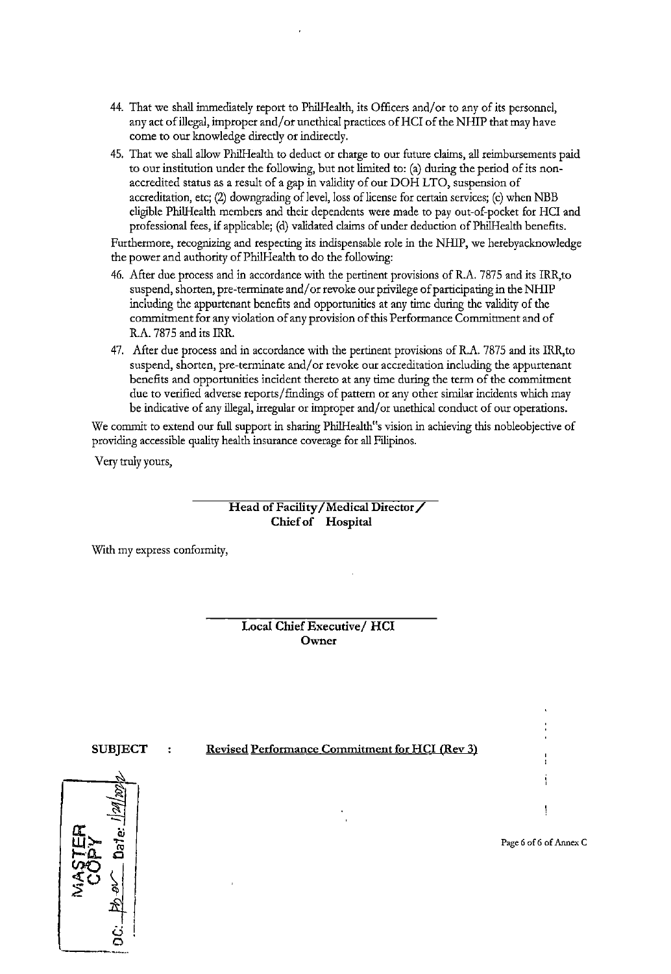- 44. That we shall immediately report to Phi!Health, its Officers and/ or to any of its personnel, any act of illegal, improper and/or unethical practices of HCI of the NHIP that may have come to our knowledge direcdy or indirecdy.
- 45. That we shall allow Phi!Health to deduct or charge to our future claims, all reimbursements paid to our institution under the following, but not limited to: (a) during the period of its nonaccredited status as a result of a gap in validity of our DOH LTO, suspension of accreditation, etc; (2) downgrading of level, loss of license for certain services; (c) when NBB eligible Phi!Health members and their dependents were made to pay out-of-pocket for HCI and professional fees, if applicable; (d) validated claims of under deduction of PhilHealth benefits.

Furthermore, recognizing and respecting its indispensable role in the NHIP, we herebyacknowledge the power and authority ofPhilHealth to do the following:

- 46. After due process and in accordance with the pertinent provisions of R.A. 7875 and its IRR,to suspend, shorten, pre-terminate and/ or revoke our privilege of participating in the NHIP including the appurtenant benefits and opportunities at any time during the validity of the commitment for any violation of any provision of this Performance Commitment and of R.A. 7875 and its IRR.
- 47. After due process and in accordance with the pertinent provisions of R.A. 7875 and its IRR,to suspend, shorten, pre-terminate and/or revoke our accreditation including the appurtenant benefits and opportunities incident thereto at any time during the term of the commitment due to verified adverse reports/findings of pattern or any other similar incidents which may be indicative of any illegal, irregular or improper and/ or unethical conduct of our operations.

We commit to extend our full support in sharing Phi!Health"s vision in achieving this nobleobjective of providing accessible quality health insurance coverage for all Filipinos.

Very truly yours,

**Head of Facility /Medical Director/ Chief of Hospital** 

With my express conformity,

**Local Chief Executive/ HCI Owner** 

#### **SUBJECT** : Revised Performance Commitment for HCI (Rev 3)



**Page 6 of 6 of Annex C**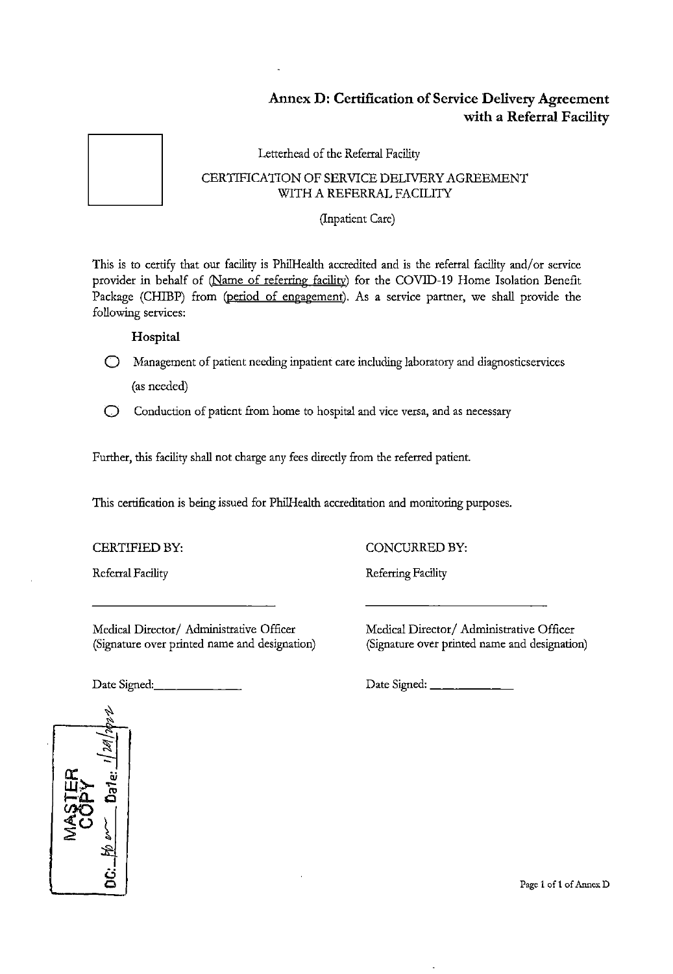## **Annex D: Certification of Service Delivery Agreement with a Referral Facility**

Letterhead of the Referral Facility

#### CERTIFICATION OF SERVICE DELIVERY AGREEMENT WITH A REFERRAL FACILITY

(Inpatient Care)

This is to certify that our facility is PhilHealth accredited and is the referral facility and/or service provider in behalf of (Name of referring facility) for the COVID-19 Home Isolation Benefit Package (CHIBP) from (period of engagement). As a service partner, we shall provide the following services:

### **Hospital**

0 Management of patient needing inpatient care including laboratory and diagnosticservices (as needed)

0 Conduction of patient from home to hospital and vice versa, and as necessary

Further, this facility shall not charge any fees directly from the referred patient.

This certification is being issued for Phi!Health accreditation and monitoring purposes.

CERTIFIED BY: CONCURRED BY:

Referral Facility **Referring Facility** 

Medical Director/ Administrative Officer (Signature over printed name and designation) Medical Director/ Administrative Officer (Signature over printed name and designation)





Page 1 of 1 of Annex D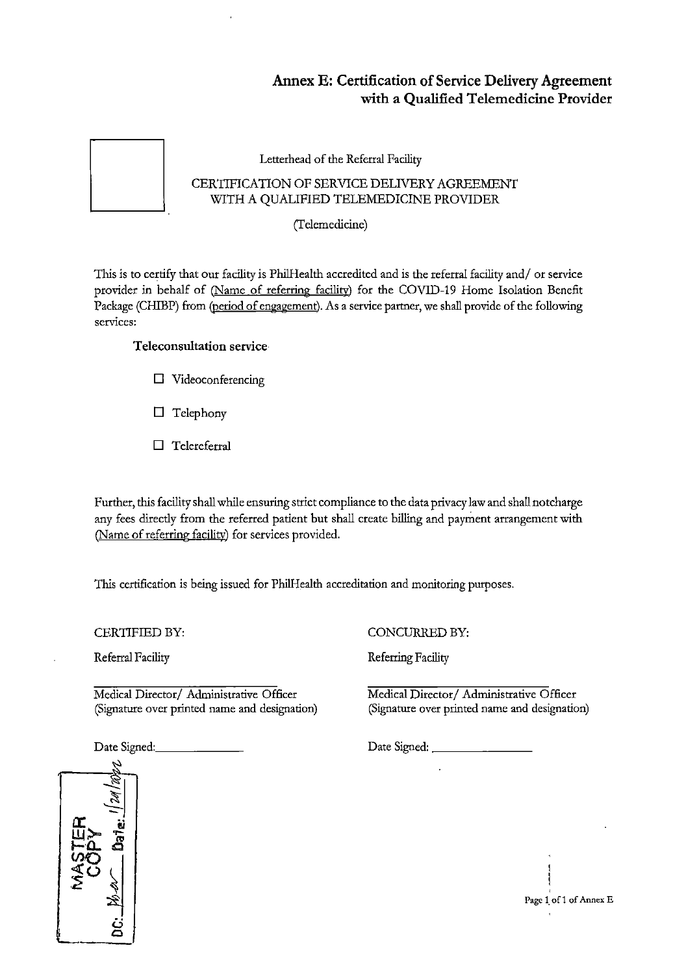## **Annex E: Certification of Service Delivery Agreement with a Qualified Telemedicine Provider**

Letterhead of the Referral Facility

### CERTIFICATION OF SERVICE DELIVERY AGREEMENT WITH A QUALIFIED TELEMEDICINE PROVIDER

(Telemedicine)

This is to certify that our facility is PhilHealth accredited and is the referral facility and/ or service provider in behalf of (Name of referring facility) for the COVID-19 Home Isolation Benefit Package (CHIBP) from (period of engagement). As a service partner, we shall provide of the following **services:** 

## **Teleconsultation service**

- **D** Videoconferencing
- **D** Telephony
- **D** Telereferral

Further, this facility shall while ensuring strict compliance to the data privacy law and shall notcharge any fees directly from the referred patient but shall create billing and payment arrangement with (Name of referring facility) for services provided.

This certification is being issued for PhilHealth accreditation and monitoring purposes.

CERTIFIED BY:

Referral Facility

Medical Director/ Administrative Officer (Signature over printed name and designation)

Date Signed:

CONCURRED BY:

Referring Facility

Medical Director/ Administrative Officer (Signature over printed name and designation)

Date Signed: \_\_\_\_\_\_ \_



**Page 1. of 1 of Annex E**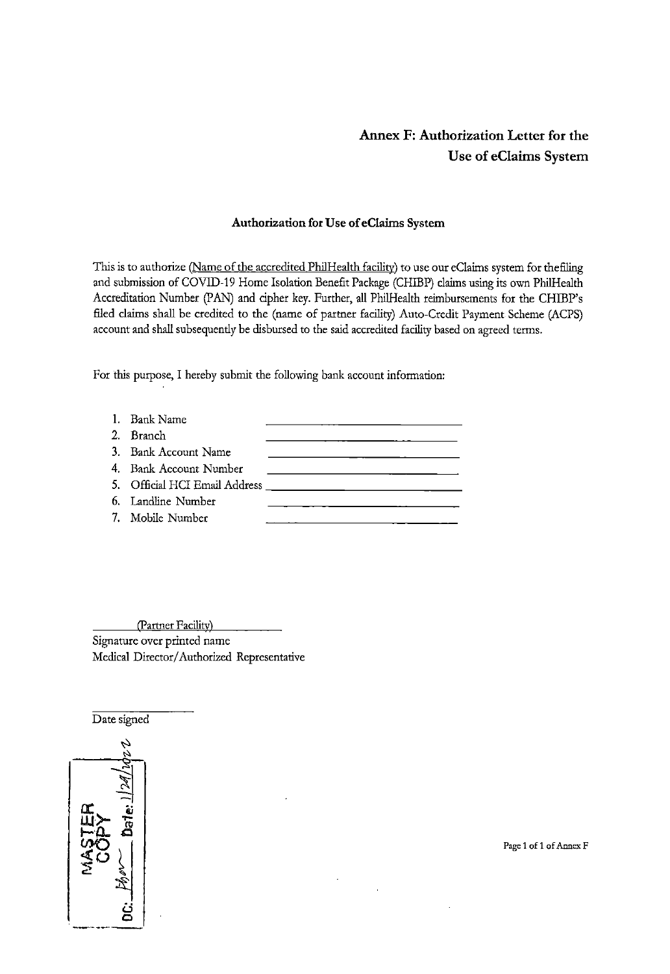## **Annex F: Authorization Letter for the Use of eClaims System**

#### **Authorization for Use of eClaims System**

This is to authorize (Name of the accredited PhilHealth facility) to use our eClaims system for the filing and submission of COVID-19 Home Isolation Benefit Package (CHIBP) claims using its own Phi!Health Accreditation Number (PAN) and cipher key. Further, all Phi!Health reimbursements for the CHIBP's filed claims shall be credited to the (name of partner facility) Auto-Credit Payment Scheme (ACPS) account and shall subsequently be disbursed to the said accredited facility based on agreed terms.

For this purpose, I hereby submit the following bank account information:

| 1. Bank Name           |  |
|------------------------|--|
| 2. Branch              |  |
| 3. Bank Account Name   |  |
| 4. Bank Account Number |  |
|                        |  |
| 6. Landline Number     |  |
| 7. Mobile Number       |  |

(Partner Facility) Signature over printed name Medical Director/ Authorized Representative

Date signed

**Page 1 of 1 of Annex F**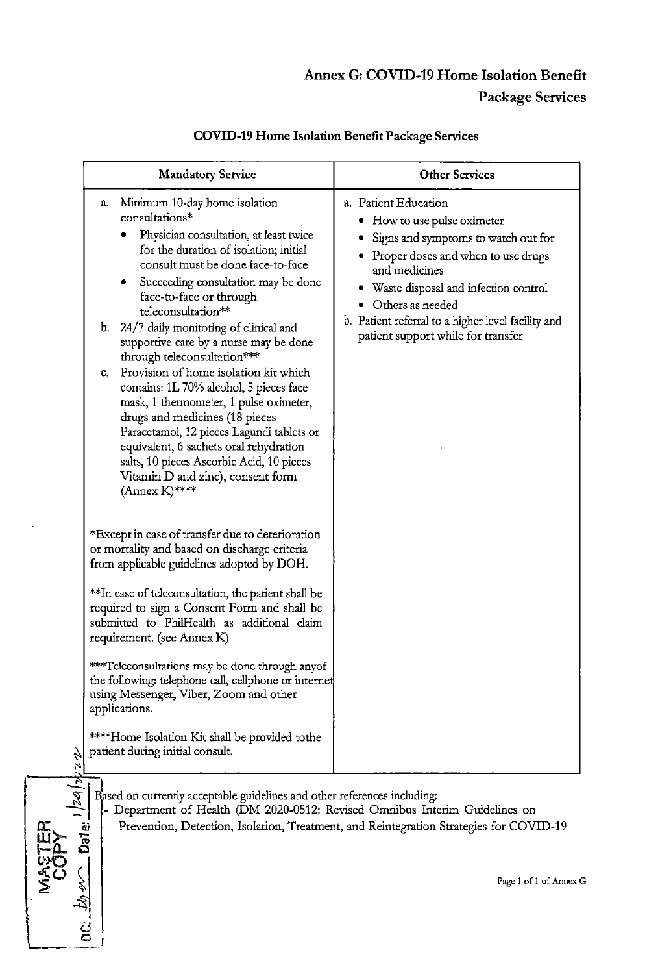## **Annex G: COVID-19 Home Isolation Benefit Package Services**

|              | <b>Mandatory Service</b>                                                                                                                                                                                                                                                                                                                                                                                                                                                                                                                                                                                                                                                                                                                                                                                                                                                                                                                                                                                                                                                                                                                                                                                                                                                                                                                                       | <b>Other Services</b>                                                                                                                                                                                                                                                                                           |
|--------------|----------------------------------------------------------------------------------------------------------------------------------------------------------------------------------------------------------------------------------------------------------------------------------------------------------------------------------------------------------------------------------------------------------------------------------------------------------------------------------------------------------------------------------------------------------------------------------------------------------------------------------------------------------------------------------------------------------------------------------------------------------------------------------------------------------------------------------------------------------------------------------------------------------------------------------------------------------------------------------------------------------------------------------------------------------------------------------------------------------------------------------------------------------------------------------------------------------------------------------------------------------------------------------------------------------------------------------------------------------------|-----------------------------------------------------------------------------------------------------------------------------------------------------------------------------------------------------------------------------------------------------------------------------------------------------------------|
| b<br>24      | Minimum 10-day home isolation<br>a.<br>consultations*<br>Physician consultation, at least twice<br>for the duration of isolation; initial<br>consult must be done face-to-face<br>Succeeding consultation may be done<br>face-to-face or through<br>teleconsultation**<br>b. 24/7 daily monitoring of clinical and<br>supportive care by a nurse may be done<br>through teleconsultation***<br>Provision of home isolation kit which<br>C.<br>contains: 1L 70% alcohol, 5 pieces face<br>mask, 1 thermometer, 1 pulse oximeter,<br>drugs and medicines (18 pieces<br>Paracetamol, 12 pieces Lagundi tablets or<br>equivalent, 6 sachets oral rehydration<br>salts, 10 pieces Ascorbic Acid, 10 pieces<br>Vitamin D and zinc), consent form<br>$(Annex K)$ ****<br>*Except in case of transfer due to deterioration<br>or mortality and based on discharge criteria<br>from applicable guidelines adopted by DOH.<br>**In case of teleconsultation, the patient shall be<br>required to sign a Consent Form and shall be<br>submitted to PhilHealth as additional claim<br>requirement. (see Annex K)<br>***Teleconsultations may be done through anyof<br>the following: telephone call, cellphone or internet<br>using Messenger, Viber, Zoom and other<br>applications.<br>****Home Isolation Kit shall be provided tothe<br>patient during initial consult. | a. Patient Education<br>• How to use pulse oximeter<br>Signs and symptoms to watch out for<br>• Proper doses and when to use drugs<br>and medicines<br>• Waste disposal and infection control<br>• Others as needed<br>b. Patient referral to a higher level facility and<br>patient support while for transfer |
| 2a <br>Dale: | Based on currently acceptable guidelines and other references including:<br>Department of Health (DM 2020-0512: Revised Omnibus Interim Guidelines on                                                                                                                                                                                                                                                                                                                                                                                                                                                                                                                                                                                                                                                                                                                                                                                                                                                                                                                                                                                                                                                                                                                                                                                                          | Prevention, Detection, Isolation, Treatment, and Reintegration Strategies for COVID-19<br>Page 1 of 1 of Annex 0                                                                                                                                                                                                |

**ij 0**   $\overline{\phantom{a}}$ 

## **COVID-19 Home Isolation Benefit Package Services**

 $\sum_{n=1}^{\infty}$   $\frac{1}{n}$  Page 1 of 1 of Annex G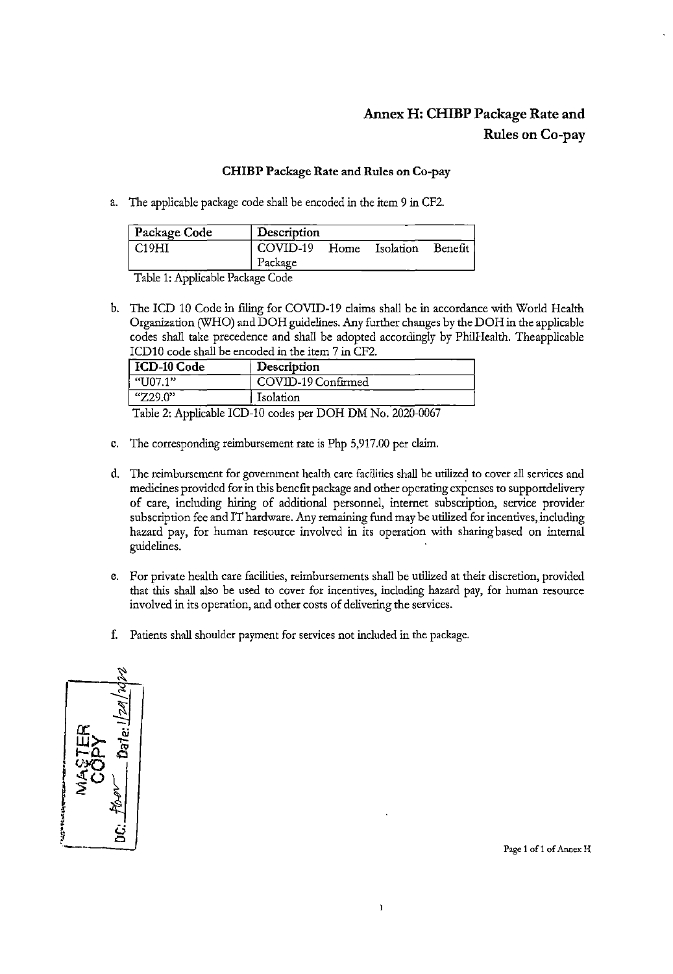## **Annex H: CHIBP Package Rate and Rules on Co-pay**

#### **CHIBP Package Rate and Rules on Co-pay**

a. The applicable package code shall be encoded in the *item* 9 in CF2.

| Package Code | Description |      |           |         |
|--------------|-------------|------|-----------|---------|
| C19HI        | COVID-19    | Home | Isolation | Benefit |
|              | Package     |      |           |         |

Table 1: Applicable Package Code

b. The ICD 10 Code in filing for COVID-19 claims shall be in accordance with World Health Organization (WHO) and DOH guidelines. Any further changes by the DOH in the applicable codes shall take precedence and shall be adopted accordingly by PhilHealth. Theapplicable ICD10 code shall be encoded in the *item* 7 in CF2.

| ICD-10 Code | Description                                    |  |
|-------------|------------------------------------------------|--|
| "U07.1"     | COVID-19 Confirmed                             |  |
| "Z29.0"     | Isolation                                      |  |
| $-11 - 21$  | $\sim$<br>$T$ $T$ $T$ $A$ $A$<br><b>DOITBY</b> |  |

Table 2: Applicable ICD-10 codes per DOH DM No. 2020-0067

- c. The corresponding reimbursement rate *is* Php 5,917.00 per claim.
- d. The reimbursement for government health care facilities shall be utilized to cover all services and medicines provided for in this benefit package and other operating expenses to supportdelivery of care, including hiring of additional personnel, internet subscription, service provider subscription fee and IT hardware. Any remaining fund may be utilized for incentives, including hazard pay, for human resource involved in its operation with sharing based on internal guidelines.
- e. For private health care facilities, reimbursements shall be utilized at their discretion, provided that this shall also be used to cover for incentives, including hazard pay, for human resource involved in its operation, and other costs of delivering the services.

Ì

f. Patients shall shoulder payment for services not included in the package.



**Page 1 of 1 of Annex H**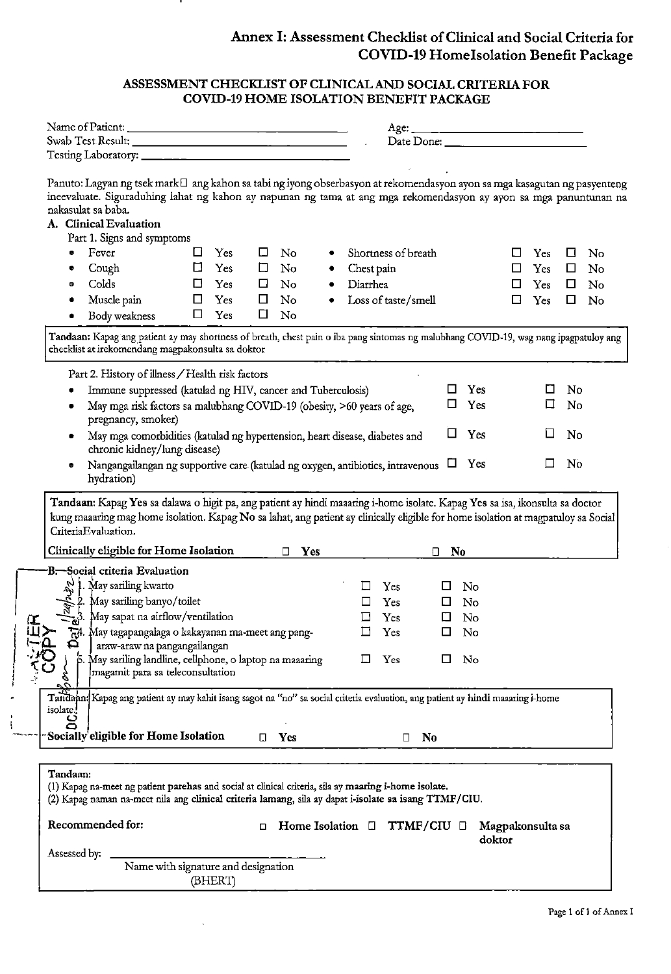## Annex 1: Assessment Checklist of Clinical and Social Criteria for COVID-19 Home Isolation Benefit Package

#### ASSESSMENT CHECKLIST OF CLINICAL AND SOCIAL CRITERIA FOR COVID-19 HOME ISOLATION BENEFIT PACKAGE

|                                                                                                                                                                                                                                                                                               |                                     | Name of Patient: |        |                        |   |            | Age:                | Date Done: New York 1988              |                |                            |     |    |    |
|-----------------------------------------------------------------------------------------------------------------------------------------------------------------------------------------------------------------------------------------------------------------------------------------------|-------------------------------------|------------------|--------|------------------------|---|------------|---------------------|---------------------------------------|----------------|----------------------------|-----|----|----|
|                                                                                                                                                                                                                                                                                               |                                     |                  |        |                        |   |            |                     |                                       |                |                            |     |    |    |
|                                                                                                                                                                                                                                                                                               |                                     |                  |        |                        |   |            |                     |                                       |                |                            |     |    |    |
| Panuto: Lagyan ng tsek mark□ ang kahon sa tabi ng iyong obserbasyon at rekomendasyon ayon sa mga kasagutan ng pasyenteng<br>ineevaluate. Siguraduhing lahat ng kahon ay napunan ng tama at ang mga rekomendasyon ay ayon sa mga panuntunan na<br>nakasulat sa baba.<br>A. Clinical Evaluation |                                     |                  |        |                        |   |            |                     |                                       |                |                            |     |    |    |
| Part 1. Signs and symptoms                                                                                                                                                                                                                                                                    |                                     |                  |        |                        |   |            |                     |                                       |                |                            |     |    |    |
| Fever<br>۰                                                                                                                                                                                                                                                                                    | ⊔                                   | Yes              | $\Box$ | No                     |   |            | Shortness of breath |                                       |                | τI                         | Yes | □  | No |
| Cough<br>۰                                                                                                                                                                                                                                                                                    | $\Box$                              | Yes              | 口      | No                     | ۰ | Chest pain |                     |                                       |                | ப                          | Yes | ப  | No |
| Colds<br>ø                                                                                                                                                                                                                                                                                    | □                                   | Yes              | ப      | $\mathbf{N}\mathbf{o}$ |   | Diarrhea   |                     |                                       |                | ப                          | Yes | Ш  | No |
| Muscle pain                                                                                                                                                                                                                                                                                   | □                                   | Yes              | □      | No                     |   |            | Loss of taste/smell |                                       |                | □                          | Yes | □  | No |
| Body weakness<br>٠                                                                                                                                                                                                                                                                            | □                                   | Yes              | $\Box$ | No                     |   |            |                     |                                       |                |                            |     |    |    |
| checklist at irekomendang magpakonsulta sa doktor<br>Part 2. History of illness / Health risk factors<br>Immune suppressed (katulad ng HIV, cancer and Tuberculosis)                                                                                                                          |                                     |                  |        |                        |   |            |                     |                                       | Yes            |                            | ப   | No |    |
| May mga risk factors sa malubhang COVID-19 (obesity, >60 years of age,<br>pregnancy, smoker)                                                                                                                                                                                                  |                                     |                  |        |                        |   |            |                     | □                                     | Yes            |                            | □   | No |    |
| May mga comorbidities (katulad ng hypertension, heart disease, diabetes and<br>chronic kidney/lung disease)                                                                                                                                                                                   |                                     |                  |        |                        |   |            |                     | ப                                     | Yes            |                            | ⊔   | No |    |
| Nangangailangan ng supportive care (katulad ng oxygen, antibiotics, intravenous<br>hydration)                                                                                                                                                                                                 |                                     |                  |        |                        |   |            |                     | ப                                     | Yes            |                            | ப   | No |    |
| Tandaan: Kapag Yes sa dalawa o higit pa, ang patient ay hindi maaaring i-home isolate. Kapag Yes sa isa, ikonsulta sa doctor<br>kung maaaring mag home isolation. Kapag No sa lahat, ang patient ay clinically eligible for home isolation at magpatuloy sa Social                            |                                     |                  |        |                        |   |            |                     |                                       |                |                            |     |    |    |
| Criteria Evaluation.                                                                                                                                                                                                                                                                          |                                     |                  |        | $\Box$                 |   |            |                     | □                                     |                |                            |     |    |    |
| Clinically eligible for Home Isolation                                                                                                                                                                                                                                                        |                                     |                  |        | Yes                    |   |            |                     |                                       | N <sub>0</sub> |                            |     |    |    |
| B <del>. S</del> ocial criteria Evaluation                                                                                                                                                                                                                                                    |                                     |                  |        |                        |   |            |                     |                                       |                |                            |     |    |    |
|                                                                                                                                                                                                                                                                                               |                                     |                  |        |                        |   |            | Yes                 | ப                                     | No             |                            |     |    |    |
|                                                                                                                                                                                                                                                                                               |                                     |                  |        |                        |   |            | Yes                 | Ω.                                    | No             |                            |     |    |    |
| $\frac{1}{2}$ . May sariling kwarto<br>2. May sariling banyo/toilet<br>$\frac{2}{3}$ . May sapat na airflow/ventilation                                                                                                                                                                       |                                     |                  |        |                        |   |            | Yes                 | 0                                     | No             |                            |     |    |    |
| May tagapangalaga o kakayanan ma-meet ang pang-<br>≏<br>araw-araw na pangangailangan                                                                                                                                                                                                          |                                     |                  |        |                        |   |            | Yes                 |                                       | No             |                            |     |    |    |
| May sariling landline, cellphone, o laptop na maaaring<br>magamit para sa teleconsultation<br>g                                                                                                                                                                                               |                                     |                  |        |                        |   | ப          | Yes                 | 0                                     | No             |                            |     |    |    |
| - 0<br>Tandaan: Kapag ang patient ay may kahit isang sagot na "no" sa social criteria evaluation, ang patient ay hindi maaaring i-home<br>isolate. <sup>1</sup>                                                                                                                               |                                     |                  |        |                        |   |            |                     |                                       |                |                            |     |    |    |
| ō<br>Socially eligible for Home Isolation                                                                                                                                                                                                                                                     |                                     |                  | П.     | Yes                    |   |            | □                   | <b>No</b>                             |                |                            |     |    |    |
|                                                                                                                                                                                                                                                                                               |                                     |                  |        |                        |   |            |                     |                                       |                |                            |     |    |    |
| Tandaan:<br>(1) Kapag na-meet ng patient parehas and social at clinical criteria, sila ay maaring i-home isolate.<br>(2) Kapag naman na-meet nila ang clinical criteria lamang, sila ay dapat i-isolate sa isang TTMF/CIU.                                                                    |                                     |                  |        |                        |   |            |                     |                                       |                |                            |     |    |    |
| Recommended for:                                                                                                                                                                                                                                                                              |                                     |                  | о      |                        |   |            |                     | Home Isolation $\Box$ TTMF/CIU $\Box$ |                | Magpakonsulta sa<br>doktor |     |    |    |
| Assessed by:                                                                                                                                                                                                                                                                                  | Name with signature and designation |                  |        |                        |   |            |                     |                                       |                |                            |     |    |    |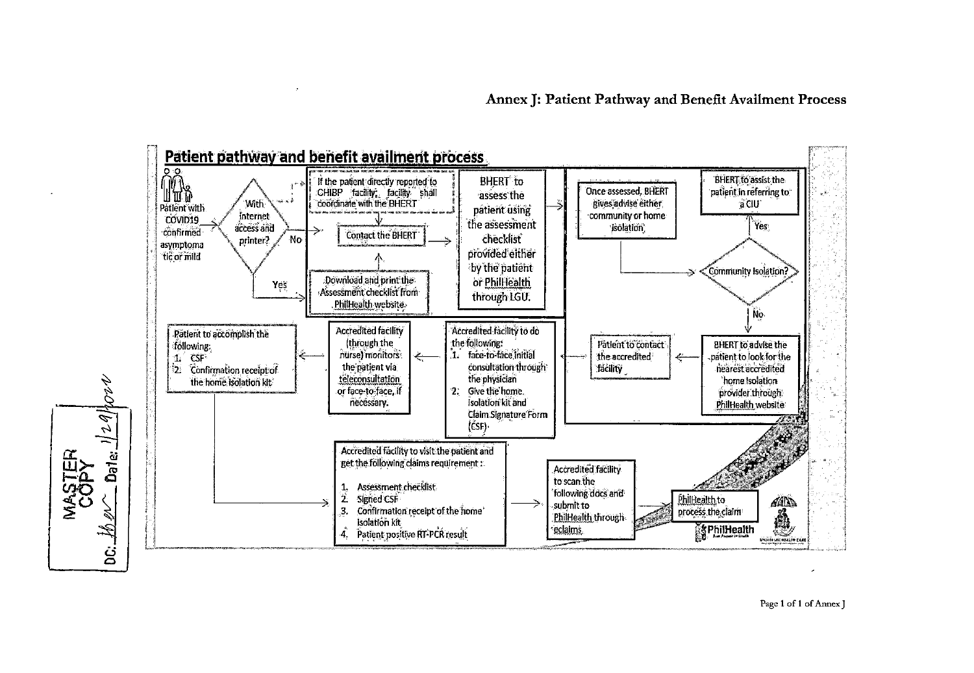

Page 1 of 1 of Annex J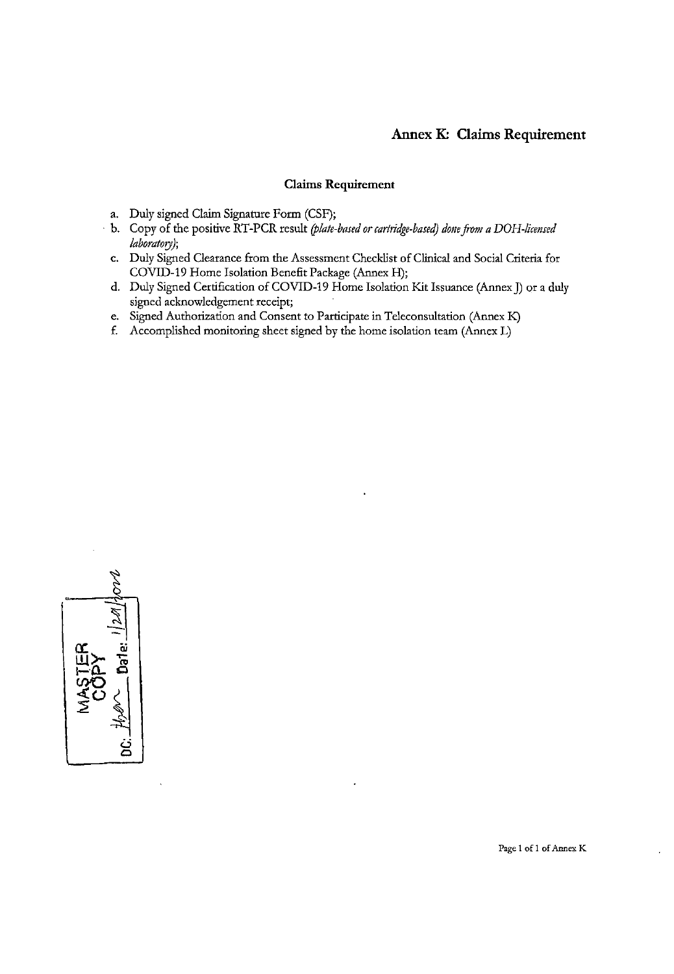## **Annex K: Claims Requirement**

#### **Claims Requirement**

- a. Duly signed Claim Signature Form (CSF);
- · b. Copy of tbe positive RT-PCR result *(plate-based or carttidge-based) done from a DOH-licensed laboratory);* 
	- c. Duly Signed Clearance from tbe Assessment Checklist of Clinical and Social Criteria for COVID-19 Home Isolation Benefit Package (Annex H);
	- d. Duly Signed Certification of COVID-19 Home Isolation Kit Issuance (Annex]) or a duly signed acknowledgement receipt;
	- e. Signed Authorization and Consent to Participate in Teleconsultation (Annex K)
	- f. Accomplished monitoring sheet signed by tbe home isolation team (Annex L)



**Page 1 of 1 of Annex K**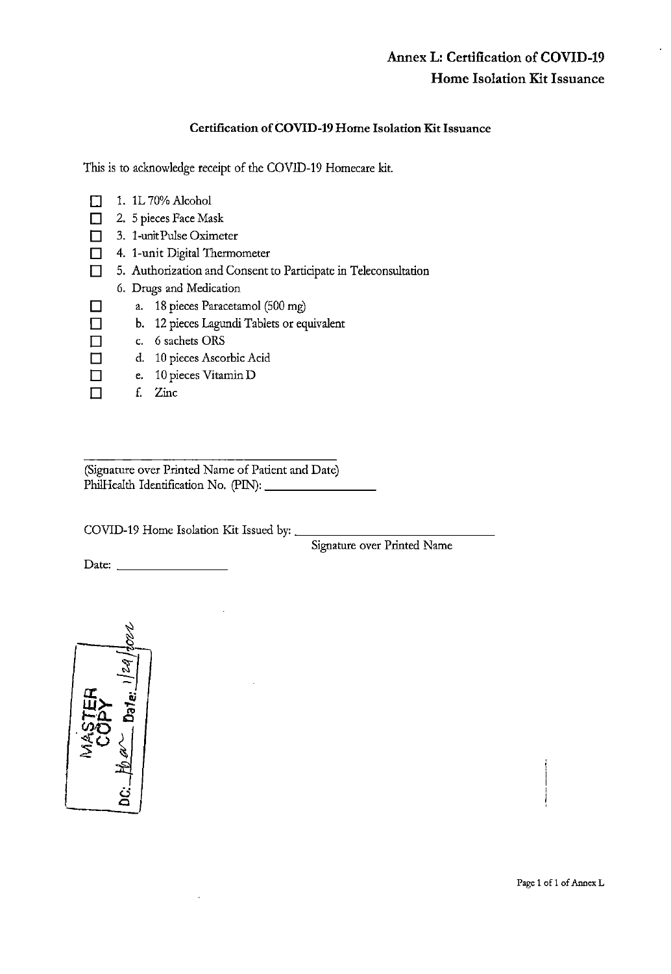#### Certification of COVID-19 Home Isolation Kit Issuance

This is to acknowledge receipt of the COVID-19 Homecare kit.

- D 1. 1L 70% Alcohol
- □ 2. 5 pieces Face Mask
- D 3. 1-uoit Pulse Oximeter
- D 4. 1-unit Digital Thermometer
- D 5. Authorization and Consent to Participate in Teleconsultation
	- 6. Drugs and Medication
- D a. 18 pieces Paracetamol (500 mg)
- D b. 12 pieces Lagundi Tablets or equivalent
- D c. 6 sachets ORS
- D d. 10 pieces Ascorbic Acid
- D e. 10 pieces Vitamin D
- $\Box$  f. Zinc

(Signature over Printed Name of Patient and Date) PhilHealth Identification No. (PIN): \_\_\_\_\_\_\_\_\_\_

COVID-19 Home Isolation Kit Issued by: \_

Signature over Printed Name

Date: \_\_\_\_\_\_\_ \_

~  $\sqrt{\frac{1}{2}}$ ا '-<br>∰> # .: .  $\frac{1}{2}$   $\frac{1}{2}$  $2 - 311$ I ٺي  $\subset$ 

Page 1 of 1 of Annex L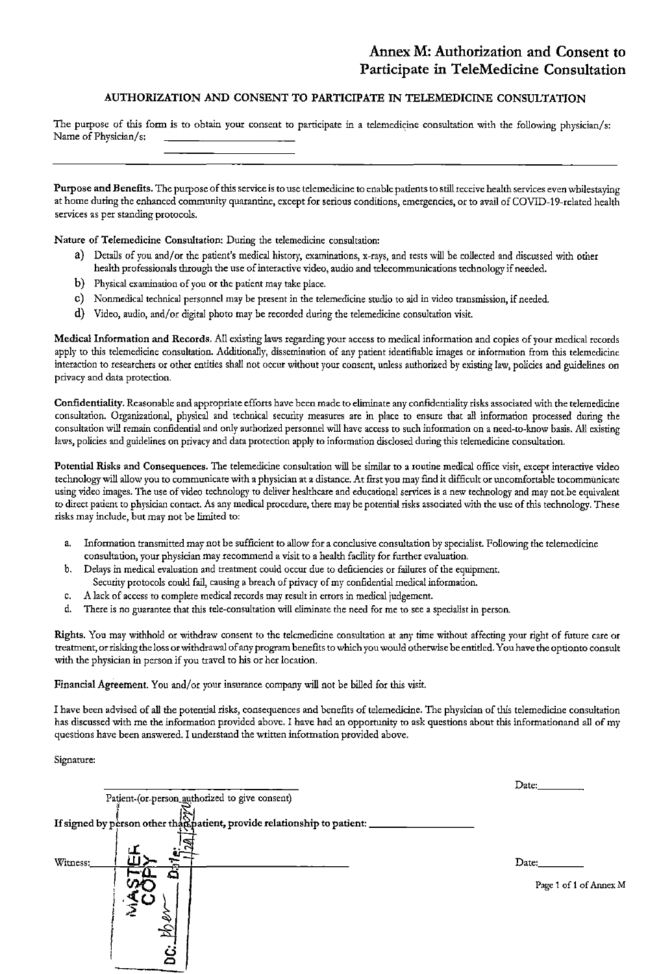#### AUTHORIZATION AND CONSENT TO PARTICIPATE IN TELEMEDICINE CONSULTATION

The purpose of this form is to obtain your consent to participate in a telemedicine consultation with the following physician/s: Name of Physician/s:

Purpose and Benefits. The purpose of this service is to use telemedicine to enable patients to still receive health services even whilestaving at home during the enhanced community quarantine, except for serious conditions, emergencies, or to avail of COVID-19-related health services as per standing protocols.

Nature of Telemedicine Consultation: During the telemedicine consultation:

- a) Details of you and/or the patient's medical history, examinations, x-rays, and tests will be collected and discussed with other health professionals through the use of interactive video, audio and telecommunications technology if needed.
- b) Physical examination of you or the patient may take place.
- c) Nonmedical technical personnel may be present in the telemedicine studio to aid in video transmission, if needed.
- d) Video, audio, and/or digital photo may be recorded during the telemedicine consultation visit.

Medical Information and Records. All existing laws regarding your access to medical information and copies of your medical records apply to this telemedicine consultation. Additionally, dissemination of any patient identifiable images or information from this telemedicine interaction to researchers or other entities shall not occur without your consent, unless authorized by existing law, policies and guidelines on privacy and data protection.

Confidentiality. Reasonable and appropriate efforts have been made to eliminate any confidentiality risks associated with the telemedicine consultation. Organizational, physical and technical security measures are in place to ensure that all information processed during the consultation will remain confidential and only authorized personnel will have access to such information on a need-to-know basis. All existing laws, policies and guidelines on privacy and data protection apply to information disclosed during this telemedicine consultation.

Potential Risks and Consequences. The telemedicine consultation will be similar to a routine medical office visit, except interactive video technology will allow you to communicate with a physician at a distance. At first you may find it difficult or uncomfortable tocommunicate using video images. The use of video technology to deliver healthcare and educational services is a new technology and may not be equivalent to direct patient to physician contact. As any medical procedure, there may be potential risks associated with the use of this technology. These risks may include, but may not be limited to:

- a. Information transmitted may not be sufficient to allow for a conclusive consultation by specialist. Following the telemedicine consultation, your physician may recommend a visit to a health facility for further evaluation.
- b. Delays in medical evaluation and treatment could occur due to deficiencies or failures of the equipment. Security protocols could fail, causing a breach of privacy of my confidential medical information.
- c. A lack of access to complete medical records may result in errors in medical judgement.
- d. There is no guarantee that this tele-consultation will eliminate the need for me to see a specialist in person.

Rights. You may withhold or withdraw consent to the telemedicine consultation at any time without affecting your right of future care or treatment, or risking the loss or withdrawal of any program benefits to which you would otherwise be entitled. You have the option to consult with the physician in person if you travel to his or her location.

Financial Agreement. You and/or your insurance company will not be billed for this visit.

I have been advised of all the potential risks, consequences and benefits of telemedicine. The physician of this telemedicine consultation has discussed with me the information provided above. I have had an opportunity to ask questions about this informationand all of my questions have been answered. I understand the written information provided above.

Signature:

| Patient-(or-person_authorized to give consent)                             | Date:                           |
|----------------------------------------------------------------------------|---------------------------------|
| If signed by person other that patient, provide relationship to patient: _ |                                 |
| Witness:<br>۵                                                              | Date:<br>Page 1 of 1 of Annex M |
|                                                                            |                                 |
|                                                                            |                                 |